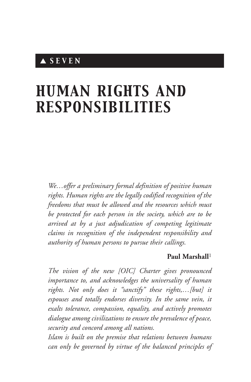# ▲ *S E V E N*

# *HUMAN RIGHTS AND RESPONSIBILITIES*

*We…offer a preliminary formal definition of positive human rights. Human rights are the legally codified recognition of the freedoms that must be allowed and the resources which must be protected for each person in the society, which are to be arrived at by a just adjudication of competing legitimate claims in recognition of the independent responsibility and authority of human persons to pursue their callings.*

#### **Paul Marshall**<sup>1</sup>

*The vision of the new [OIC] Charter gives pronounced importance to, and acknowledges the universality of human rights. Not only does it "sanctify" these rights,…[but] it espouses and totally endorses diversity. In the same vein, it exalts tolerance, compassion, equality, and actively promotes dialogue among civilizations to ensure the prevalence of peace, security and concord among all nations.*

*Islam is built on the premise that relations between humans can only be governed by virtue of the balanced principles of*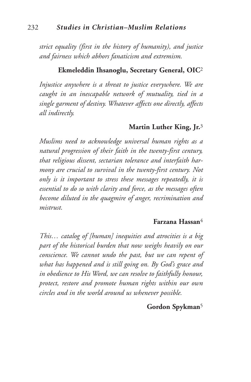*strict equality (first in the history of humanity), and justice and fairness which abhors fanaticism and extremism.*

## **Ekmeleddin Ihsanoglu, Secretary General, OIC**<sup>2</sup>

*Injustice anywhere is a threat to justice everywhere. We are caught in an inescapable network of mutuality, tied in a single garment of destiny. Whatever affects one directly, affects all indirectly.*

#### **Martin Luther King, Jr.**3

*Muslims need to acknowledge universal human rights as a natural progression of their faith in the twenty-first century, that religious dissent, sectarian tolerance and interfaith harmony are crucial to survival in the twenty-first century. Not only is it important to stress these messages repeatedly, it is essential to do so with clarity and force, as the messages often become diluted in the quagmire of anger, recrimination and mistrust.*

#### **Farzana Hassan**4

*This… catalog of [human] inequities and atrocities is a big part of the historical burden that now weighs heavily on our conscience. We cannot undo the past, but we can repent of what has happened and is still going on. By God's grace and in obedience to His Word, we can resolve to faithfully honour, protect, restore and promote human rights within our own circles and in the world around us whenever possible.*

#### **Gordon Spykman**<sup>5</sup>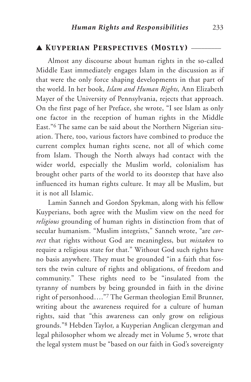### ▲ *Kuyperian Perspectives (Mostly)* \_\_\_\_\_\_\_\_\_

Almost any discourse about human rights in the so-called Middle East immediately engages Islam in the discussion as if that were the only force shaping developments in that part of the world. In her book, *Islam and Human Rights,* Ann Elizabeth Mayer of the University of Pennsylvania, rejects that approach. On the first page of her Preface, she wrote, "I see Islam as only one factor in the reception of human rights in the Middle East."6 The same can be said about the Northern Nigerian situation. There, too, various factors have combined to produce the current complex human rights scene, not all of which come from Islam. Though the North always had contact with the wider world, especially the Muslim world, colonialism has brought other parts of the world to its doorstep that have also influenced its human rights culture. It may all be Muslim, but it is not all Islamic.

Lamin Sanneh and Gordon Spykman, along with his fellow Kuyperians, both agree with the Muslim view on the need for *religious* grounding of human rights in distinction from that of secular humanism. "Muslim integrists," Sanneh wrote, "are *correct* that rights without God are meaningless, but *mistaken* to require a religious state for that." Without God such rights have no basis anywhere. They must be grounded "in a faith that fosters the twin culture of rights and obligations, of freedom and community." These rights need to be "insulated from the tyranny of numbers by being grounded in faith in the divine right of personhood…."7 The German theologian Emil Brunner, writing about the awareness required for a culture of human rights, said that "this awareness can only grow on religious grounds."8 Hebden Taylor, a Kuyperian Anglican clergyman and legal philosopher whom we already met in Volume 5, wrote that the legal system must be "based on our faith in God's sovereignty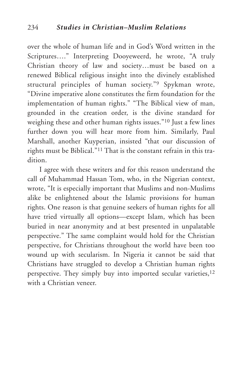over the whole of human life and in God's Word written in the Scriptures…." Interpreting Dooyeweerd, he wrote, "A truly Christian theory of law and society…must be based on a renewed Biblical religious insight into the divinely established structural principles of human society."9 Spykman wrote, "Divine imperative alone constitutes the firm foundation for the implementation of human rights." "The Biblical view of man, grounded in the creation order, is the divine standard for weighing these and other human rights issues."10 Just a few lines further down you will hear more from him. Similarly, Paul Marshall, another Kuyperian, insisted "that our discussion of rights must be Biblical."11 That is the constant refrain in this tradition.

I agree with these writers and for this reason understand the call of Muhammad Hassan Tom, who, in the Nigerian context, wrote, "It is especially important that Muslims and non-Muslims alike be enlightened about the Islamic provisions for human rights. One reason is that genuine seekers of human rights for all have tried virtually all options—except Islam, which has been buried in near anonymity and at best presented in unpalatable perspective." The same complaint would hold for the Christian perspective, for Christians throughout the world have been too wound up with secularism. In Nigeria it cannot be said that Christians have struggled to develop a Christian human rights perspective. They simply buy into imported secular varieties,<sup>12</sup> with a Christian veneer.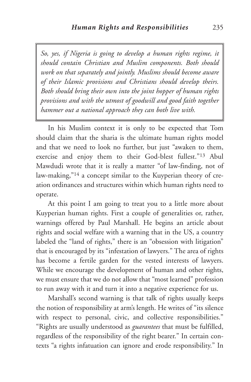*So, yes, if Nigeria is going to develop a human rights regime, it should contain Christian and Muslim components. Both should work on that separately and jointly. Muslims should become aware of their Islamic provisions and Christians should develop theirs. Both should bring their own into the joint hopper of human rights provisions and with the utmost of goodwill and good faith together hammer out a national approach they can both live with.*

In his Muslim context it is only to be expected that Tom should claim that the sharia is the ultimate human rights model and that we need to look no further, but just "awaken to them, exercise and enjoy them to their God-blest fullest."13 Abul Mawdudi wrote that it is really a matter "of law-finding, not of law-making,"14 a concept similar to the Kuyperian theory of creation ordinances and structures within which human rights need to operate.

At this point I am going to treat you to a little more about Kuyperian human rights. First a couple of generalities or, rather, warnings offered by Paul Marshall. He begins an article about rights and social welfare with a warning that in the US, a country labeled the "land of rights," there is an "obsession with litigation" that is encouraged by its "infestation of lawyers." The area of rights has become a fertile garden for the vested interests of lawyers. While we encourage the development of human and other rights, we must ensure that we do not allow that "most learned" profession to run away with it and turn it into a negative experience for us.

Marshall's second warning is that talk of rights usually keeps the notion of responsibility at arm's length. He writes of "its silence with respect to personal, civic, and collective responsibilities." "Rights are usually understood as *guarantees* that must be fulfilled, regardless of the responsibility of the right bearer." In certain contexts "a rights infatuation can ignore and erode responsibility." In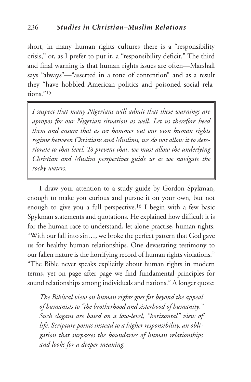short, in many human rights cultures there is a "responsibility crisis," or, as I prefer to put it, a "responsibility deficit." The third and final warning is that human rights issues are often—Marshall says "always"—"asserted in a tone of contention" and as a result they "have hobbled American politics and poisoned social relations<sup>"15</sup>

*I suspect that many Nigerians will admit that these warnings are apropos for our Nigerian situation as well. Let us therefore heed them and ensure that as we hammer out our own human rights regime between Christians and Muslims, we do not allow it to deteriorate to that level. To prevent that, we must allow the underlying Christian and Muslim perspectives guide us as we navigate the rocky waters.*

I draw your attention to a study guide by Gordon Spykman, enough to make you curious and pursue it on your own, but not enough to give you a full perspective.16 I begin with a few basic Spykman statements and quotations. He explained how difficult it is for the human race to understand, let alone practise, human rights: "With our fall into sin…, we broke the perfect pattern that God gave us for healthy human relationships. One devastating testimony to our fallen nature is the horrifying record of human rights violations." "The Bible never speaks explicitly about human rights in modern terms, yet on page after page we find fundamental principles for sound relationships among individuals and nations." A longer quote:

*The Biblical view on human rights goes far beyond the appeal of humanists to "the brotherhood and sisterhood of humanity." Such slogans are based on a low-level, "horizontal" view of life. Scripture points instead to a higher responsibility, an obligation that surpasses the boundaries of human relationships and looks for a deeper meaning.*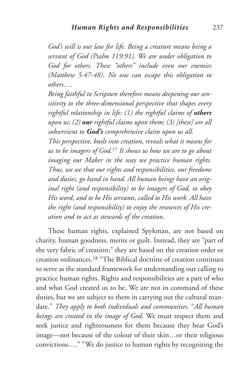*God's will is our law for life. Being a creature means being a servant of God (Psalm 119:91). We are under obligation to God for others. These "others" include even our enemies (Matthew 5:47-48). No one can escape this obligation to others….*

*Being faithful to Scripture therefore means deepening our sensitivity to the three-dimensional perspective that shapes every rightful relationship in life: (1) the rightful claims of others upon us; (2) our rightful claims upon them; (3) [these] are all subservient to God's comprehensive claim upon us all. This perspective, built into creation, reveals what it means for us to be imagers of God.*<sup>17</sup> *It shows us how we are to go about imaging our Maker in the way we practice human rights. Thus, we see that our rights and responsibilities, our freedoms and duties, go hand in hand. All human beings have an original right (and responsibility) to be imagers of God, to obey His word, and to be His servants, called to His work. All have the right (and responsibility) to enjoy the resources of His creation and to act as stewards of the creation.*

These human rights, explained Spykman, are not based on charity, human goodness, merits or guilt. Instead, they are "part of the very fabric of creation;" they are based on the creation order or creation ordinances.18 "The Biblical doctrine of creation continues to serve as the standard framework for understanding our calling to practice human rights. Rights and responsibilities are a part of who and what God created us to be. We are not in command of these duties, but we are subject to them in carrying out the cultural mandate." *They apply to both individuals and communities.* "*All human beings are created in the image of God.* We must respect them and seek justice and righteousness for them because they bear God's image—not because of the colour of their skin…or their religious convictions…." "We do justice to human rights by recognizing the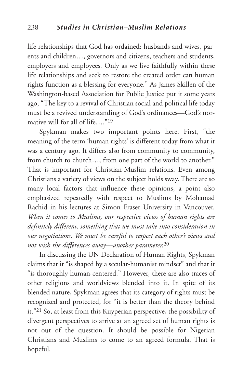life relationships that God has ordained: husbands and wives, parents and children…, governors and citizens, teachers and students, employers and employees. Only as we live faithfully within these life relationships and seek to restore the created order can human rights function as a blessing for everyone." As James Skillen of the Washington-based Association for Public Justice put it some years ago, "The key to a revival of Christian social and political life today must be a revived understanding of God's ordinances—God's normative will for all of life…."19

Spykman makes two important points here. First, "the meaning of the term 'human rights' is different today from what it was a century ago. It differs also from community to community, from church to church..., from one part of the world to another." That is important for Christian-Muslim relations. Even among Christians a variety of views on the subject holds sway. There are so many local factors that influence these opinions, a point also emphasized repeatedly with respect to Muslims by Mohamad Rachid in his lectures at Simon Fraser University in Vancouver. *When it comes to Muslims, our respective views of human rights are definitely different, something that we must take into consideration in our negotiations. We must be careful to respect each other's views and not wish the differences away—another parameter.*<sup>20</sup>

In discussing the UN Declaration of Human Rights, Spykman claims that it "is shaped by a secular-humanist mindset" and that it "is thoroughly human-centered." However, there are also traces of other religions and worldviews blended into it. In spite of its blended nature, Spykman agrees that its category of rights must be recognized and protected, for "it is better than the theory behind it."21 So, at least from this Kuyperian perspective, the possibility of divergent perspectives to arrive at an agreed set of human rights is not out of the question. It should be possible for Nigerian Christians and Muslims to come to an agreed formula. That is hopeful.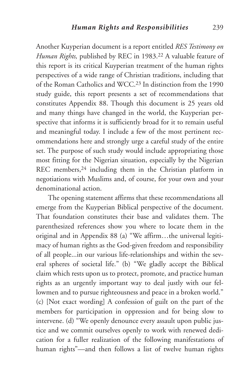Another Kuyperian document is a report entitled *RES Testimony on Human Rights,* published by REC in 1983.22 A valuable feature of this report is its critical Kuyperian treatment of the human rights perspectives of a wide range of Christian traditions, including that of the Roman Catholics and WCC.23 In distinction from the 1990 study guide, this report presents a set of recommendations that constitutes Appendix 88. Though this document is 25 years old and many things have changed in the world, the Kuyperian perspective that informs it is sufficiently broad for it to remain useful and meaningful today. I include a few of the most pertinent recommendations here and strongly urge a careful study of the entire set. The purpose of such study would include appropriating those most fitting for the Nigerian situation, especially by the Nigerian REC members,24 including them in the Christian platform in negotiations with Muslims and, of course, for your own and your denominational action.

The opening statement affirms that these recommendations all emerge from the Kuyperian Biblical perspective of the document. That foundation constitutes their base and validates them. The parenthesized references show you where to locate them in the original and in Appendix 88 (a) "We affirm…the universal legitimacy of human rights as the God-given freedom and responsibility of all people...in our various life-relationships and within the several spheres of societal life." (b) "We gladly accept the Biblical claim which rests upon us to protect, promote, and practice human rights as an urgently important way to deal justly with our fellowmen and to pursue righteousness and peace in a broken world." (c) [Not exact wording] A confession of guilt on the part of the members for participation in oppression and for being slow to intervene. (d) "We openly denounce every assault upon public justice and we commit ourselves openly to work with renewed dedication for a fuller realization of the following manifestations of human rights"—and then follows a list of twelve human rights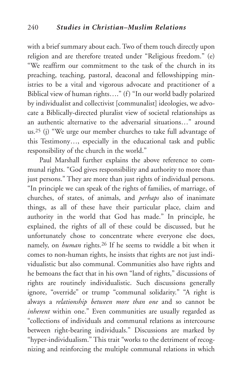with a brief summary about each. Two of them touch directly upon religion and are therefore treated under "Religious freedom." (e) "We reaffirm our commitment to the task of the church in its preaching, teaching, pastoral, deaconal and fellowshipping ministries to be a vital and vigorous advocate and practitioner of a Biblical view of human rights…." (f) "In our world badly polarized by individualist and collectivist [communalist] ideologies, we advocate a Biblically-directed pluralist view of societal relationships as an authentic alternative to the adversarial situations…" around us.25 (j) "We urge our member churches to take full advantage of this Testimony…, especially in the educational task and public responsibility of the church in the world."

Paul Marshall further explains the above reference to communal rights. "God gives responsibility and authority to more than just persons." They are more than just rights of individual persons. "In principle we can speak of the rights of families, of marriage, of churches, of states, of animals, and *perhaps* also of inanimate things, as all of these have their particular place, claim and authority in the world that God has made." In principle, he explained, the rights of all of these could be discussed, but he unfortunately chose to concentrate where everyone else does, namely, on *human* rights.26 If he seems to twiddle a bit when it comes to non-human rights, he insists that rights are not just individualistic but also communal. Communities also have rights and he bemoans the fact that in his own "land of rights," discussions of rights are routinely individualistic. Such discussions generally ignore, "override" or trump "communal solidarity." "A right is always a *relationship between more than one* and so cannot be *inherent* within one." Even communities are usually regarded as "collections of individuals and communal relations as intercourse between right-bearing individuals." Discussions are marked by "hyper-individualism." This trait "works to the detriment of recognizing and reinforcing the multiple communal relations in which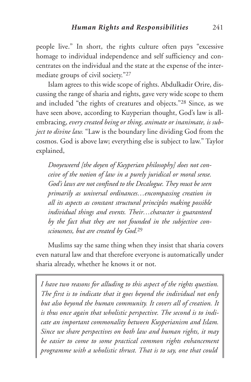people live." In short, the rights culture often pays "excessive homage to individual independence and self sufficiency and concentrates on the individual and the state at the expense of the intermediate groups of civil society."27

Islam agrees to this wide scope of rights. Abdulkadir Orire, discussing the range of sharia and rights, gave very wide scope to them and included "the rights of creatures and objects."28 Since, as we have seen above, according to Kuyperian thought, God's law is allembracing, *every created being or thing, animate or inanimate, is subject to divine law.* "Law is the boundary line dividing God from the cosmos. God is above law; everything else is subject to law." Taylor explained,

*Dooyeweerd [the doyen of Kuyperian philosophy] does not conceive of the notion of law in a purely juridical or moral sense. God's laws are not confined to the Decalogue.They must be seen primarily as universal ordinances…encompassing creation in all its aspects as constant structural principles making possible individual things and events. Their…character is guaranteed by the fact that they are not founded in the subjective consciousness, but are created by God.* 29

Muslims say the same thing when they insist that sharia covers even natural law and that therefore everyone is automatically under sharia already, whether he knows it or not.

*I have two reasons for alluding to this aspect of the rights question. The first is to indicate that it goes beyond the individual not only but also beyond the human community. It covers all of creation. It is thus once again that wholistic perspective. The second is to indicate an important commonality between Kuyperianism and Islam. Since we share perspectives on both law and human rights, it may be easier to come to some practical common rights enhancement programme with a wholistic thrust. That is to say, one that could*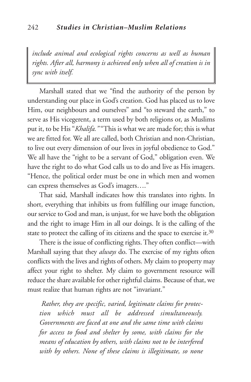*include animal and ecological rights concerns as well as human rights. After all, harmony is achieved only when all of creation is in sync with itself.*

Marshall stated that we "find the authority of the person by understanding our place in God's creation. God has placed us to love Him, our neighbours and ourselves" and "to steward the earth," to serve as His vicegerent, a term used by both religions or, as Muslims put it, to be His "*Khalifa*." "This is what we are made for; this is what we are fitted for. We all are called, both Christian and non-Christian, to live out every dimension of our lives in joyful obedience to God." We all have the "right to be a servant of God," obligation even. We have the right to do what God calls us to do and live as His imagers. "Hence, the political order must be one in which men and women can express themselves as God's imagers…."

That said, Marshall indicates how this translates into rights. In short, everything that inhibits us from fulfilling our image function, our service to God and man, is unjust, for we have both the obligation and the right to image Him in all our doings. It is the calling of the state to protect the calling of its citizens and the space to exercise it. $30$ 

There is the issue of conflicting rights.They often conflict—with Marshall saying that they *always* do. The exercise of my rights often conflicts with the lives and rights of others. My claim to property may affect your right to shelter. My claim to government resource will reduce the share available for other rightful claims. Because of that, we must realize that human rights are not "invariant."

*Rather, they are specific, varied, legitimate claims for protection which must all be addressed simultaneously. Governments are faced at one and the same time with claims for access to food and shelter by some, with claims for the means of education by others, with claims not to be interfered with by others. None of these claims is illegitimate, so none*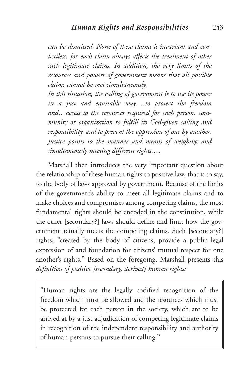*can be dismissed. None of these claims is invariant and contextless, for each claim always affects the treatment of other such legitimate claims. In addition, the very limits of the resources and powers of government means that all possible claims cannot be met simultaneously.*

*In this situation, the calling of government is to use its power in a just and equitable way….to protect the freedom and…access to the resources required for each person, community or organization to fulfill its God-given calling and responsibility, and to prevent the oppression of one by another. Justice points to the manner and means of weighing and simultaneously meeting different rights….*

Marshall then introduces the very important question about the relationship of these human rights to positive law, that is to say, to the body of laws approved by government. Because of the limits of the government's ability to meet all legitimate claims and to make choices and compromises among competing claims, the most fundamental rights should be encoded in the constitution, while the other [secondary?] laws should define and limit how the government actually meets the competing claims. Such [secondary?] rights, "created by the body of citizens, provide a public legal expression of and foundation for citizens' mutual respect for one another's rights." Based on the foregoing, Marshall presents this *definition of positive [secondary, derived] human rights:*

"Human rights are the legally codified recognition of the freedom which must be allowed and the resources which must be protected for each person in the society, which are to be arrived at by a just adjudication of competing legitimate claims in recognition of the independent responsibility and authority of human persons to pursue their calling."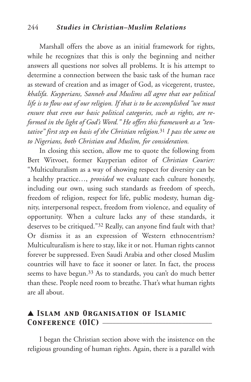### 244 *Studies in Christian–Muslim Relations*

Marshall offers the above as an initial framework for rights, while he recognizes that this is only the beginning and neither answers all questions nor solves all problems. It is his attempt to determine a connection between the basic task of the human race as steward of creation and as imager of God, as vicegerent, trustee, *khalifa. Kuyperians, Sanneh and Muslims all agree that our political life is to flow out of our religion. If that is to be accomplished "we must ensure that even our basic political categories, such as rights, are reformed in the light of God's Word." He offers this framework as a "tentative" first step on basis of the Christian religion.*<sup>31</sup> *I pass the same on to Nigerians, both Christian and Muslim, for consideration.*

In closing this section, allow me to quote the following from Bert Witvoet, former Kuyperian editor of *Christian Courier:* "Multiculturalism as a way of showing respect for diversity can be a healthy practice…, *provided* we evaluate each culture honestly, including our own, using such standards as freedom of speech, freedom of religion, respect for life, public modesty, human dignity, interpersonal respect, freedom from violence, and equality of opportunity. When a culture lacks any of these standards, it deserves to be critiqued."32 Really, can anyone find fault with that? Or dismiss it as an expression of Western ethnocentrism? Multiculturalism is here to stay, like it or not. Human rights cannot forever be suppressed. Even Saudi Arabia and other closed Muslim countries will have to face it sooner or later. In fact, the process seems to have begun.<sup>33</sup> As to standards, you can't do much better than these. People need room to breathe. That's what human rights are all about.

## ▲ *Islam and Organisation of Islamic* CONFERENCE (OIC) —

I began the Christian section above with the insistence on the religious grounding of human rights. Again, there is a parallel with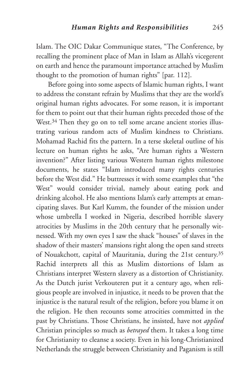Islam. The OIC Dakar Communique states, "The Conference, by recalling the prominent place of Man in Islam as Allah's vicegerent on earth and hence the paramount importance attached by Muslim thought to the promotion of human rights" [par. 112].

Before going into some aspects of Islamic human rights, I want to address the constant refrain by Muslims that they are the world's original human rights advocates. For some reason, it is important for them to point out that their human rights preceded those of the West.<sup>34</sup> Then they go on to tell some arcane ancient stories illustrating various random acts of Muslim kindness to Christians. Mohamad Rachid fits the pattern. In a terse skeletal outline of his lecture on human rights he asks, "Are human rights a Western invention?" After listing various Western human rights milestone documents, he states "Islam introduced many rights centuries before the West did." He buttresses it with some examples that "the West" would consider trivial, namely about eating pork and drinking alcohol. He also mentions Islam's early attempts at emancipating slaves. But Karl Kumm, the founder of the mission under whose umbrella I worked in Nigeria, described horrible slavery atrocities by Muslims in the 20th century that he personally witnessed. With my own eyes I saw the shack "houses" of slaves in the shadow of their masters' mansions right along the open sand streets of Nouakchott, capital of Mauritania, during the 21st century.35 Rachid interprets all this as Muslim distortions of Islam as Christians interpret Western slavery as a distortion of Christianity. As the Dutch jurist Verkouteren put it a century ago, when religious people are involved in injustice, it needs to be proven that the injustice is the natural result of the religion, before you blame it on the religion. He then recounts some atrocities committed in the past by Christians. Those Christians, he insisted, have not *applied* Christian principles so much as *betrayed* them. It takes a long time for Christianity to cleanse a society. Even in his long-Christianized Netherlands the struggle between Christianity and Paganism is still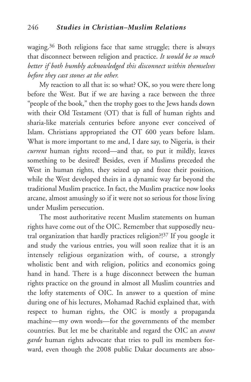waging.36 Both religions face that same struggle; there is always that disconnect between religion and practice. *It would be so much better if both humbly acknowledged this disconnect within themselves before they cast stones at the other.*

My reaction to all that is: so what? OK, so you were there long before the West. But if we are having a race between the three "people of the book," then the trophy goes to the Jews hands down with their Old Testament (OT) that is full of human rights and sharia-like materials centuries before anyone ever conceived of Islam. Christians appropriated the OT 600 years before Islam. What is more important to me and, I dare say, to Nigeria, is their *current* human rights record—and that, to put it mildly, leaves something to be desired! Besides, even if Muslims preceded the West in human rights, they seized up and froze their position, while the West developed theirs in a dynamic way far beyond the traditional Muslim practice. In fact, the Muslim practice now looks arcane, almost amusingly so if it were not so serious for those living under Muslim persecution.

The most authoritative recent Muslim statements on human rights have come out of the OIC. Remember that supposedly neutral organization that hardly practices religion?! <sup>37</sup> If you google it and study the various entries, you will soon realize that it is an intensely religious organization with, of course, a strongly wholistic bent and with religion, politics and economics going hand in hand. There is a huge disconnect between the human rights practice on the ground in almost all Muslim countries and the lofty statements of OIC. In answer to a question of mine during one of his lectures, Mohamad Rachid explained that, with respect to human rights, the OIC is mostly a propaganda machine—my own words—for the governments of the member countries. But let me be charitable and regard the OIC an *avant garde* human rights advocate that tries to pull its members forward, even though the 2008 public Dakar documents are abso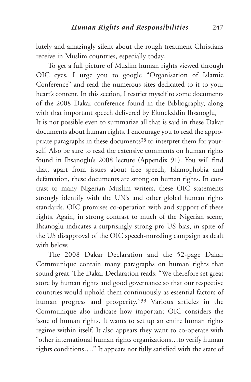lutely and amazingly silent about the rough treatment Christians receive in Muslim countries, especially today.

To get a full picture of Muslim human rights viewed through OIC eyes, I urge you to google "Organisation of Islamic Conference" and read the numerous sites dedicated to it to your heart's content. In this section, I restrict myself to some documents of the 2008 Dakar conference found in the Bibliography, along with that important speech delivered by Ekmeleddin Ihsanoglu, It is not possible even to summarize all that is said in these Dakar

documents about human rights. I encourage you to read the appropriate paragraphs in these documents<sup>38</sup> to interpret them for yourself. Also be sure to read the extensive comments on human rights found in Ihsanoglu's 2008 lecture (Appendix 91). You will find that, apart from issues about free speech, Islamophobia and defamation, these documents are strong on human rights. In contrast to many Nigerian Muslim writers, these OIC statements strongly identify with the UN's and other global human rights standards. OIC promises co-operation with and support of these rights. Again, in strong contrast to much of the Nigerian scene, Ihsanoglu indicates a surprisingly strong pro-US bias, in spite of the US disapproval of the OIC speech-muzzling campaign as dealt with below.

The 2008 Dakar Declaration and the 52-page Dakar Communique contain many paragraphs on human rights that sound great. The Dakar Declaration reads: "We therefore set great store by human rights and good governance so that our respective countries would uphold them continuously as essential factors of human progress and prosperity."39 Various articles in the Communique also indicate how important OIC considers the issue of human rights. It wants to set up an entire human rights regime within itself. It also appears they want to co-operate with "other international human rights organizations…to verify human rights conditions…." It appears not fully satisfied with the state of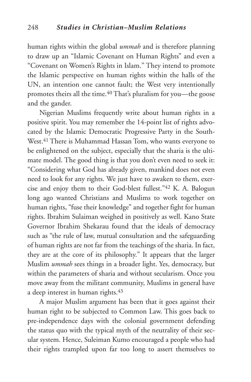human rights within the global *ummah* and is therefore planning to draw up an "Islamic Covenant on Human Rights" and even a "Covenant on Women's Rights in Islam." They intend to promote the Islamic perspective on human rights within the halls of the UN, an intention one cannot fault; the West very intentionally promotes theirs all the time.40 That's pluralism for you—the goose and the gander.

Nigerian Muslims frequently write about human rights in a positive spirit. You may remember the 14-point list of rights advocated by the Islamic Democratic Progressive Party in the South-West.<sup>41</sup> There is Muhammad Hassan Tom, who wants everyone to be enlightened on the subject, especially that the sharia is the ultimate model. The good thing is that you don't even need to seek it: "Considering what God has already given, mankind does not even need to look for any rights. We just have to awaken to them, exercise and enjoy them to their God-blest fullest."42 K. A. Balogun long ago wanted Christians and Muslims to work together on human rights, "fuse their knowledge" and together fight for human rights. Ibrahim Sulaiman weighed in positively as well. Kano State Governor Ibrahim Shekarau found that the ideals of democracy such as "the rule of law, mutual consultation and the safeguarding of human rights are not far from the teachings of the sharia. In fact, they are at the core of its philosophy." It appears that the larger Muslim *ummah* sees things in a broader light. Yes, democracy, but within the parameters of sharia and without secularism. Once you move away from the militant community, Muslims in general have a deep interest in human rights.<sup>43</sup>

A major Muslim argument has been that it goes against their human right to be subjected to Common Law. This goes back to pre-independence days with the colonial government defending the status quo with the typical myth of the neutrality of their secular system. Hence, Suleiman Kumo encouraged a people who had their rights trampled upon far too long to assert themselves to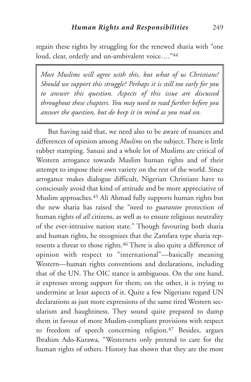regain these rights by struggling for the renewed sharia with "one loud, clear, orderly and un-ambivalent voice…."44

*Most Muslims will agree with this, but what of us Christians? Should we support this struggle? Perhaps it is still too early for you to answer this question. Aspects of this issue are discussed throughout these chapters. You may need to read further before you answer the question, but do keep it in mind as you read on.*

But having said that, we need also to be aware of nuances and differences of opinion among *Muslims* on the subject. There is little rubber stamping. Sanusi and a whole lot of Muslims are critical of Western arrogance towards Muslim human rights and of their attempt to impose their own variety on the rest of the world. Since arrogance makes dialogue difficult, Nigerian Christians have to consciously avoid that kind of attitude and be more appreciative of Muslim approaches.45 Ali Ahmad fully supports human rights but the new sharia has raised the "need to *guarantee* protection of human rights of *all* citizens, as well as to ensure religious neutrality of the ever-intrusive nation state." Though favouring both sharia and human rights, he recognizes that the Zamfara type sharia represents a threat to those rights.46 There is also quite a difference of opinion with respect to "international"—basically meaning Western—human rights conventions and declarations, including that of the UN. The OIC stance is ambiguous. On the one hand, it expresses strong support for them; on the other, it is trying to undermine at least aspects of it. Quite a few Nigerians regard UN declarations as just more expressions of the same tired Western secularism and haughtiness. They sound quite prepared to dump them in favour of more Muslim-compliant provisions with respect to freedom of speech concerning religion.47 Besides, argues Ibrahim Ado-Kurawa, "Westerners only pretend to care for the human rights of others. History has shown that they are the most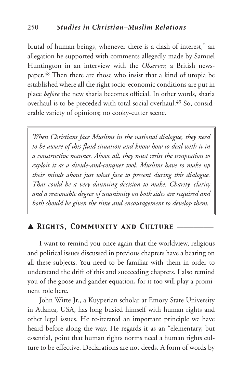brutal of human beings, whenever there is a clash of interest," an allegation he supported with comments allegedly made by Samuel Huntington in an interview with the *Observer,* a British newspaper.48 Then there are those who insist that a kind of utopia be established where all the right socio-economic conditions are put in place *before* the new sharia becomes official. In other words, sharia overhaul is to be preceded with total social overhaul.49 So, considerable variety of opinions; no cooky-cutter scene.

*When Christians face Muslims in the national dialogue, they need to be aware of this fluid situation and know how to deal with it in a constructive manner. Above all, they must resist the temptation to exploit it as a divide-and-conquer tool. Muslims have to make up their minds about just what face to present during this dialogue. That could be a very daunting decision to make. Charity, clarity and a reasonable degree of unanimity on both sides are required and both should be given the time and encouragement to develop them.*

## ▲ *Rights, Community and Culture* \_\_\_\_\_\_\_\_\_\_\_

I want to remind you once again that the worldview, religious and political issues discussed in previous chapters have a bearing on all these subjects. You need to be familiar with them in order to understand the drift of this and succeeding chapters. I also remind you of the goose and gander equation, for it too will play a prominent role here.

John Witte Jr., a Kuyperian scholar at Emory State University in Atlanta, USA, has long busied himself with human rights and other legal issues. He re-iterated an important principle we have heard before along the way. He regards it as an "elementary, but essential, point that human rights norms need a human rights culture to be effective. Declarations are not deeds. A form of words by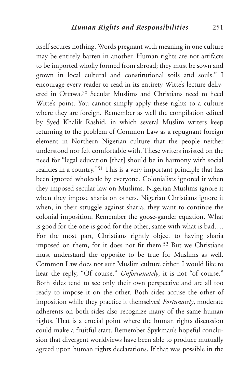itself secures nothing. Words pregnant with meaning in one culture may be entirely barren in another. Human rights are not artifacts to be imported wholly formed from abroad; they must be sown and grown in local cultural and constitutional soils and souls." I encourage every reader to read in its entirety Witte's lecture delivered in Ottawa<sup>50</sup> Secular Muslims and Christians need to heed Witte's point. You cannot simply apply these rights to a culture where they are foreign. Remember as well the compilation edited by Syed Khalik Rashid, in which several Muslim writers keep returning to the problem of Common Law as a repugnant foreign element in Northern Nigerian culture that the people neither understood nor felt comfortable with. These writers insisted on the need for "legal education [that] should be in harmony with social realities in a country."51 This is a very important principle that has been ignored wholesale by everyone. Colonialists ignored it when they imposed secular law on Muslims. Nigerian Muslims ignore it when they impose sharia on others. Nigerian Christians ignore it when, in their struggle against sharia, they want to continue the colonial imposition. Remember the goose-gander equation. What is good for the one is good for the other; same with what is bad…. For the most part, Christians rightly object to having sharia imposed on them, for it does not fit them.52 But we Christians must understand the opposite to be true for Muslims as well. Common Law does not suit Muslim culture either. I would like to hear the reply, "Of course." *Unfortunately*, it is not "of course." Both sides tend to see only their own perspective and are all too ready to impose it on the other. Both sides accuse the other of imposition while they practice it themselves! *Fortunately*, moderate adherents on both sides also recognize many of the same human rights. That is a crucial point where the human rights discussion could make a fruitful start. Remember Spykman's hopeful conclusion that divergent worldviews have been able to produce mutually agreed upon human rights declarations. If that was possible in the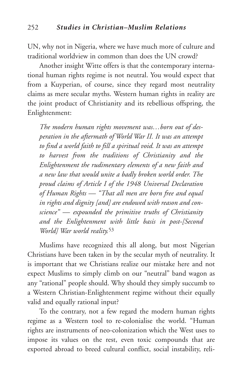UN, why not in Nigeria, where we have much more of culture and traditional worldview in common than does the UN crowd?

Another insight Witte offers is that the contemporary international human rights regime is not neutral. You would expect that from a Kuyperian, of course, since they regard most neutrality claims as mere secular myths. Western human rights in reality are the joint product of Christianity and its rebellious offspring, the Enlightenment:

*The modern human rights movement was…born out of desperation in the aftermath of World War II. It was an attempt to find a world faith to fill a spiritual void. It was an attempt to harvest from the traditions of Christianity and the Enlightenment the rudimentary elements of a new faith and a new law that would unite a badly broken world order. The proud claims of Article I of the 1948 Universal Declaration of Human Rights — "That all men are born free and equal in rights and dignity [and] are endowed with reason and conscience" — expounded the primitive truths of Christianity and the Enlightenment with little basis in post-[Second World] War world reality.*<sup>53</sup>

Muslims have recognized this all along, but most Nigerian Christians have been taken in by the secular myth of neutrality. It is important that we Christians realize our mistake here and not expect Muslims to simply climb on our "neutral" band wagon as any "rational" people should. Why should they simply succumb to a Western Christian-Enlightenment regime without their equally valid and equally rational input?

To the contrary, not a few regard the modern human rights regime as a Western tool to re-colonialise the world. "Human rights are instruments of neo-colonization which the West uses to impose its values on the rest, even toxic compounds that are exported abroad to breed cultural conflict, social instability, reli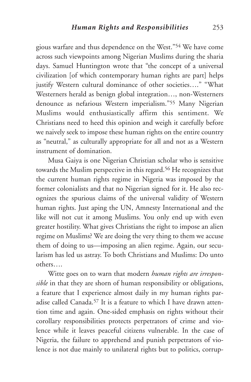gious warfare and thus dependence on the West."54 We have come across such viewpoints among Nigerian Muslims during the sharia days. Samuel Huntington wrote that "the concept of a universal civilization [of which contemporary human rights are part] helps justify Western cultural dominance of other societies…." "What Westerners herald as benign global integration…, non-Westerners denounce as nefarious Western imperialism."55 Many Nigerian Muslims would enthusiastically affirm this sentiment. We Christians need to heed this opinion and weigh it carefully before we naively seek to impose these human rights on the entire country as "neutral," as culturally appropriate for all and not as a Western instrument of domination.

Musa Gaiya is one Nigerian Christian scholar who is sensitive towards the Muslim perspective in this regard.<sup>56</sup> He recognizes that the current human rights regime in Nigeria was imposed by the former colonialists and that no Nigerian signed for it. He also recognizes the spurious claims of the universal validity of Western human rights. Just aping the UN, Amnesty International and the like will not cut it among Muslims. You only end up with even greater hostility. What gives Christians the right to impose an alien regime on Muslims? We are doing the very thing to them we accuse them of doing to us—imposing an alien regime. Again, our secularism has led us astray. To both Christians and Muslims: Do unto others….

Witte goes on to warn that modern *human rights are irresponsible* in that they are shorn of human responsibility or obligations, a feature that I experience almost daily in my human rights paradise called Canada.57 It is a feature to which I have drawn attention time and again. One-sided emphasis on rights without their corollary responsibilities protects perpetrators of crime and violence while it leaves peaceful citizens vulnerable. In the case of Nigeria, the failure to apprehend and punish perpetrators of violence is not due mainly to unilateral rights but to politics, corrup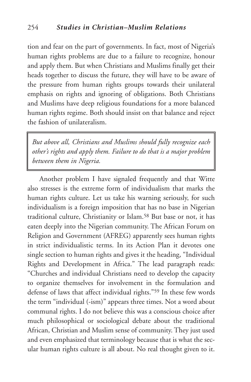tion and fear on the part of governments. In fact, most of Nigeria's human rights problems are due to a failure to recognize, honour and apply them. But when Christians and Muslims finally get their heads together to discuss the future, they will have to be aware of the pressure from human rights groups towards their unilateral emphasis on rights and ignoring of obligations. Both Christians and Muslims have deep religious foundations for a more balanced human rights regime. Both should insist on that balance and reject the fashion of unilateralism.

*But above all, Christians and Muslims should fully recognize each other's rights and apply them. Failure to do that is a major problem between them in Nigeria.*

Another problem I have signaled frequently and that Witte also stresses is the extreme form of individualism that marks the human rights culture. Let us take his warning seriously, for such individualism is a foreign imposition that has no base in Nigerian traditional culture, Christianity or Islam.58 But base or not, it has eaten deeply into the Nigerian community. The African Forum on Religion and Government (AFREG) apparently sees human rights in strict individualistic terms. In its Action Plan it devotes one single section to human rights and gives it the heading, "Individual Rights and Development in Africa." The lead paragraph reads: "Churches and individual Christians need to develop the capacity to organize themselves for involvement in the formulation and defense of laws that affect individual rights."59 In these few words the term "individual (-ism)" appears three times. Not a word about communal rights. I do not believe this was a conscious choice after much philosophical or sociological debate about the traditional African, Christian and Muslim sense of community. They just used and even emphasized that terminology because that is what the secular human rights culture is all about. No real thought given to it.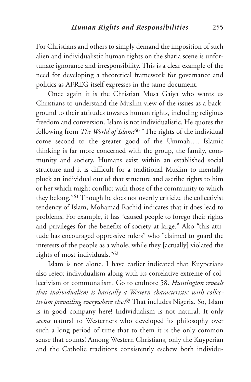For Christians and others to simply demand the imposition of such alien and individualistic human rights on the sharia scene is unfortunate ignorance and irresponsibility. This is a clear example of the need for developing a theoretical framework for governance and politics as AFREG itself expresses in the same document.

Once again it is the Christian Musa Gaiya who wants us Christians to understand the Muslim view of the issues as a background to their attitudes towards human rights, including religious freedom and conversion. Islam is not individualistic. He quotes the following from *The World of Islam*:60 "The rights of the individual come second to the greater good of the Ummah…. Islamic thinking is far more concerned with the group, the family, community and society. Humans exist within an established social structure and it is difficult for a traditional Muslim to mentally pluck an individual out of that structure and ascribe rights to him or her which might conflict with those of the community to which they belong."61 Though he does not overtly criticize the collectivist tendency of Islam, Mohamad Rachid indicates that it does lead to problems. For example, it has "caused people to forego their rights and privileges for the benefits of society at large." Also "this attitude has encouraged oppressive rulers" who "claimed to guard the interests of the people as a whole, while they [actually] violated the rights of most individuals."62

Islam is not alone. I have earlier indicated that Kuyperians also reject individualism along with its correlative extreme of collectivism or communalism. Go to endnote 58. *Huntington reveals that individualism is basically a Western characteristic with collectivism prevailing everywhere else*.63 That includes Nigeria. So, Islam is in good company here! Individualism is not natural. It only *seems* natural to Westerners who developed its philosophy over such a long period of time that to them it is the only common sense that counts! Among Western Christians, only the Kuyperian and the Catholic traditions consistently eschew both individu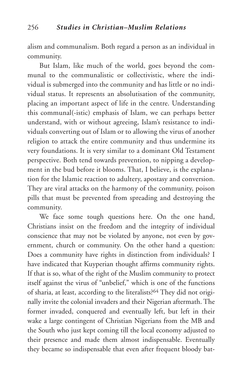alism and communalism. Both regard a person as an individual in community.

But Islam, like much of the world, goes beyond the communal to the communalistic or collectivistic, where the individual is submerged into the community and has little or no individual status. It represents an absolutisation of the community, placing an important aspect of life in the centre. Understanding this communal(-istic) emphasis of Islam, we can perhaps better understand, with or without agreeing, Islam's resistance to individuals converting out of Islam or to allowing the virus of another religion to attack the entire community and thus undermine its very foundations. It is very similar to a dominant Old Testament perspective. Both tend towards prevention, to nipping a development in the bud before it blooms. That, I believe, is the explanation for the Islamic reaction to adultery, apostasy and conversion. They are viral attacks on the harmony of the community, poison pills that must be prevented from spreading and destroying the community.

We face some tough questions here. On the one hand, Christians insist on the freedom and the integrity of individual conscience that may not be violated by anyone, not even by government, church or community. On the other hand a question: Does a community have rights in distinction from individuals? I have indicated that Kuyperian thought affirms community rights. If that is so, what of the right of the Muslim community to protect itself against the virus of "unbelief," which is one of the functions of sharia, at least, according to the literalists?64 They did not originally invite the colonial invaders and their Nigerian aftermath. The former invaded, conquered and eventually left, but left in their wake a large contingent of Christian Nigerians from the MB and the South who just kept coming till the local economy adjusted to their presence and made them almost indispensable. Eventually they became so indispensable that even after frequent bloody bat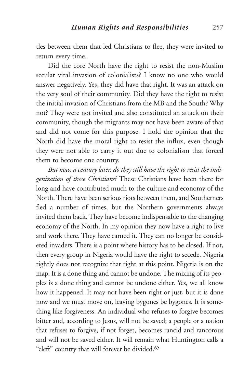tles between them that led Christians to flee, they were invited to return every time.

Did the core North have the right to resist the non-Muslim secular viral invasion of colonialists? I know no one who would answer negatively. Yes, they did have that right. It was an attack on the very soul of their community. Did they have the right to resist the initial invasion of Christians from the MB and the South? Why not? They were not invited and also constituted an attack on their community, though the migrants may not have been aware of that and did not come for this purpose. I hold the opinion that the North did have the moral right to resist the influx, even though they were not able to carry it out due to colonialism that forced them to become one country.

*But now, a century later, do they still have the right to resist the indigenization of these Christians?* These Christians have been there for long and have contributed much to the culture and economy of the North. There have been serious riots between them, and Southerners fled a number of times, but the Northern governments always invited them back. They have become indispensable to the changing economy of the North. In my opinion they now have a right to live and work there. They have earned it. They can no longer be considered invaders. There is a point where history has to be closed. If not, then every group in Nigeria would have the right to secede. Nigeria rightly does not recognize that right at this point. Nigeria is on the map. It is a done thing and cannot be undone.The mixing of its peoples is a done thing and cannot be undone either. Yes, we all know how it happened. It may not have been right or just, but it is done now and we must move on, leaving bygones be bygones. It is something like forgiveness. An individual who refuses to forgive becomes bitter and, according to Jesus, will not be saved; a people or a nation that refuses to forgive, if not forget, becomes rancid and rancorous and will not be saved either. It will remain what Huntington calls a "cleft" country that will forever be divided.65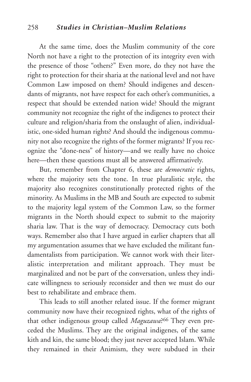### 258 *Studies in Christian–Muslim Relations*

At the same time, does the Muslim community of the core North not have a right to the protection of its integrity even with the presence of those "others?" Even more, do they not have the right to protection for their sharia at the national level and not have Common Law imposed on them? Should indigenes and descendants of migrants, not have respect for each other's communities, a respect that should be extended nation wide? Should the migrant community not recognize the right of the indigenes to protect their culture and religion/sharia from the onslaught of alien, individualistic, one-sided human rights? And should the indigenous community not also recognize the rights of the former migrants? If you recognize the "done-ness" of history—and we really have no choice here—then these questions must all be answered affirmatively.

But, remember from Chapter 6, these are *democratic* rights, where the majority sets the tone. In true pluralistic style, the majority also recognizes constitutionally protected rights of the minority. As Muslims in the MB and South are expected to submit to the majority legal system of the Common Law, so the former migrants in the North should expect to submit to the majority sharia law. That is the way of democracy. Democracy cuts both ways. Remember also that I have argued in earlier chapters that all my argumentation assumes that we have excluded the militant fundamentalists from participation. We cannot work with their literalistic interpretation and militant approach. They must be marginalized and not be part of the conversation, unless they indicate willingness to seriously reconsider and then we must do our best to rehabilitate and embrace them.

This leads to still another related issue. If the former migrant community now have their recognized rights, what of the rights of that other indigenous group called *Maguzawa*?66 They even preceded the Muslims. They are the original indigenes, of the same kith and kin, the same blood; they just never accepted Islam. While they remained in their Animism, they were subdued in their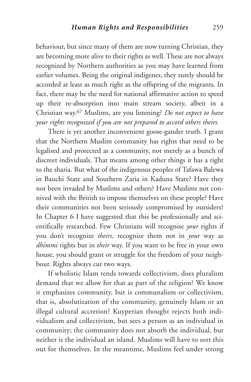behaviour, but since many of them are now turning Christian, they are becoming more alive to their rights as well. These are not always recognized by Northern authorities as you may have learned from earlier volumes. Being the original indigenes, they surely should be accorded at least as much right as the offspring of the migrants. In fact, there may be the need for national affirmative action to speed up their re-absorption into main stream society, albeit in a Christian way.67 Muslims, are you listening? *Do not expect to have your rights recognized if you are not prepared to accord others theirs.*

There is yet another inconvenient goose-gander truth. I grant that the Northern Muslim community has rights that need to be legalised and protected as a community, not merely as a bunch of discreet individuals. That means among other things it has a right to the sharia. But what of the indigenous peoples of Tafawa Balewa in Bauchi State and Southern Zaria in Kaduna State? Have they not been invaded by Muslims and others? Have Muslims not connived with the British to impose themselves on these people? Have their communities not been seriously compromised by outsiders? In Chapter 6 I have suggested that this be professionally and scientifically researched. Few Christians will recognise *your* rights if you don't recognize *theirs*, recognize them not in *your* way as *dhimmi* rights but in *their* way. If you want to be free in your own house, you should grant or struggle for the freedom of your neighbour. Rights always cut two ways.

If wholistic Islam tends towards collectivism, does pluralism demand that we allow for that as part of the religion? We know it emphasizes community, but is communalism or collectivism, that is, absolutization of the community, genuinely Islam or an illegal cultural accretion? Kuyperian thought rejects both individualism and collectivism, but sees a person as an individual in community; the community does not absorb the individual, but neither is the individual an island. Muslims will have to sort this out for themselves. In the meantime, Muslims feel under strong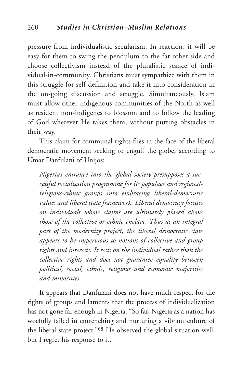pressure from individualistic secularism. In reaction, it will be easy for them to swing the pendulum to the far other side and choose collectivism instead of the pluralistic stance of individual-in-community. Christians must sympathize with them in this struggle for self-definition and take it into consideration in the on-going discussion and struggle. Simultaneously, Islam must allow other indigenous communities of the North as well as resident non-indigenes to blossom and to follow the leading of God wherever He takes them, without putting obstacles in their way.

This claim for communal rights flies in the face of the liberal democratic movement seeking to engulf the globe, according to Umar Danfulani of Unijos:

*Nigeria's entrance into the global society presupposes a successful socialisation programme for its populace and regionalreligious-ethnic groups into embracing liberal-democratic values and liberal state framework. Liberal democracy focuses on individuals whose claims are ultimately placed above those of the collective or ethnic enclave. Thus as an integral part of the modernity project, the liberal democratic state appears to be impervious to notions of collective and group rights and interests. It rests on the individual rather than the collective rights and does not guarantee equality between political, social, ethnic, religious and economic majorities and minorities.*

It appears that Danfulani does not have much respect for the rights of groups and laments that the process of individualization has not gone far enough in Nigeria. "So far, Nigeria as a nation has woefully failed in entrenching and nurturing a vibrant culture of the liberal state project."68 He observed the global situation well, but I regret his response to it.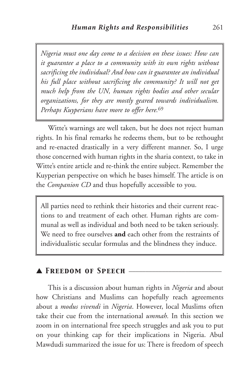*Nigeria must one day come to a decision on these issues: How can it guarantee a place to a community with its own rights without sacrificing the individual? And how can it guarantee an individual his full place without sacrificing the community? It will not get much help from the UN, human rights bodies and other secular organizations, for they are mostly geared towards individualism. Perhaps Kuyperians have more to offer here.*<sup>69</sup>

Witte's warnings are well taken, but he does not reject human rights. In his final remarks he redeems them, but to be rethought and re-enacted drastically in a very different manner. So, I urge those concerned with human rights in the sharia context, to take in Witte's entire article and re-think the entire subject. Remember the Kuyperian perspective on which he bases himself. The article is on the *Companion CD* and thus hopefully accessible to you.

All parties need to rethink their histories and their current reactions to and treatment of each other. Human rights are communal as well as individual and both need to be taken seriously. We need to free ourselves **and** each other from the restraints of individualistic secular formulas and the blindness they induce.

## ▲ *Freedom of Speech* \_\_\_\_\_\_\_\_\_\_\_\_\_\_\_\_\_\_\_\_\_\_\_\_\_\_\_\_

This is a discussion about human rights in *Nigeria* and about how Christians and Muslims can hopefully reach agreements about a *modus vivendi* in *Nigeria*. However, local Muslims often take their cue from the international *ummah.* In this section we zoom in on international free speech struggles and ask you to put on your thinking cap for their implications in Nigeria. Abul Mawdudi summarized the issue for us: There is freedom of speech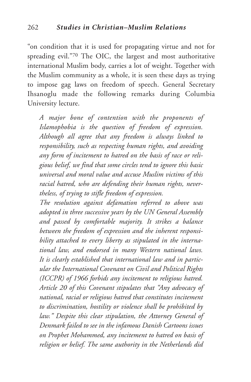"on condition that it is used for propagating virtue and not for spreading evil."70 The OIC, the largest and most authoritative international Muslim body, carries a lot of weight. Together with the Muslim community as a whole, it is seen these days as trying to impose gag laws on freedom of speech. General Secretary Ihsanoglu made the following remarks during Columbia University lecture.

*A major bone of contention with the proponents of Islamophobia is the question of freedom of expression. Although all agree that any freedom is always linked to responsibility, such as respecting human rights, and avoiding any form of incitement to hatred on the basis of race or religious belief, we find that some circles tend to ignore this basic universal and moral value and accuse Muslim victims of this racial hatred, who are defending their human rights, nevertheless, of trying to stifle freedom of expression.*

*The resolution against defamation referred to above was adopted in three successive years by the UN General Assembly and passed by comfortable majority. It strikes a balance between the freedom of expression and the inherent responsibility attached to every liberty as stipulated in the international law, and endorsed in many Western national laws. It is clearly established that international law and in particular the International Covenant on Civil and Political Rights (ICCPR) of 1966 forbids any incitement to religious hatred. Article 20 of this Covenant stipulates that "Any advocacy of national, racial or religious hatred that constitutes incitement to discrimination, hostility or violence shall be prohibited by law." Despite this clear stipulation, the Attorney General of Denmark failed to see in the infamous Danish Cartoons issues on Prophet Mohammed, any incitement to hatred on basis of religion or belief. The same authority in the Netherlands did*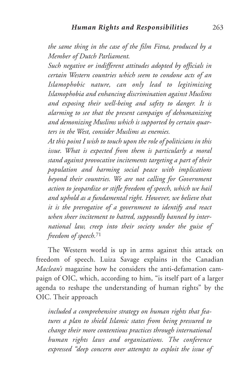*the same thing in the case of the film Fitna, produced by a Member of Dutch Parliament.*

*Such negative or indifferent attitudes adopted by officials in certain Western countries which seem to condone acts of an Islamophobic nature, can only lead to legitimizing Islamophobia and enhancing discrimination against Muslims and exposing their well-being and safety to danger. It is alarming to see that the present campaign of dehumanizing and demonizing Muslims which is supported by certain quarters in the West, consider Muslims as enemies.*

*At this point I wish to touch upon the role of politicians in this issue. What is expected from them is particularly a moral stand against provocative incitements targeting a part of their population and harming social peace with implications beyond their countries. We are not calling for Government action to jeopardize or stifle freedom of speech, which we hail and uphold as a fundamental right. However, we believe that it is the prerogative of a government to identify and react when sheer incitement to hatred, supposedly banned by international law, creep into their society under the guise of freedom of speech.*<sup>71</sup>

The Western world is up in arms against this attack on freedom of speech. Luiza Savage explains in the Canadian *Maclean's* magazine how he considers the anti-defamation campaign of OIC, which, according to him, "is itself part of a larger agenda to reshape the understanding of human rights" by the OIC. Their approach

*included a comprehensive strategy on human rights that features a plan to shield Islamic states from being pressured to change their more contentious practices through international human rights laws and organizations. The conference expressed "deep concern over attempts to exploit the issue of*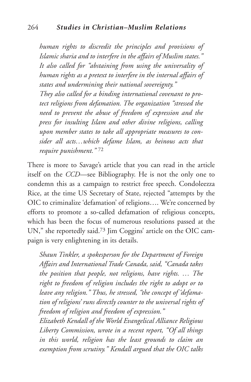*human rights to discredit the principles and provisions of Islamic sharia and to interfere in the affairs of Muslim states." It also called for "abstaining from using the universality of human rights as a pretext to interfere in the internal affairs of states and undermining their national sovereignty." They also called for a binding international covenant to protect religions from defamation. The organization "stressed the need to prevent the abuse of freedom of expression and the press for insulting Islam and other divine religions, calling upon member states to take all appropriate measures to consider all acts…which defame Islam, as heinous acts that require punishment."* <sup>72</sup>

There is more to Savage's article that you can read in the article itself on the *CCD*—see Bibliography. He is not the only one to condemn this as a campaign to restrict free speech. Condoleezza Rice, at the time US Secretary of State, rejected "attempts by the OIC to criminalize 'defamation' of religions…. We're concerned by efforts to promote a so-called defamation of religious concepts, which has been the focus of numerous resolutions passed at the UN," she reportedly said.73 Jim Coggins' article on the OIC campaign is very enlightening in its details.

*Shaun Tinkler, a spokesperson for the Department of Foreign Affairs and International Trade Canada, said, "Canada takes the position that people, not religions, have rights. … The right to freedom of religion includes the right to adopt or to leave any religion." Thus, he stressed, "the concept of 'defamation of religions' runs directly counter to the universal rights of freedom of religion and freedom of expression."*

*Elizabeth Kendall of the World Evangelical Alliance Religious Liberty Commission, wrote in a recent report, "Of all things in this world, religion has the least grounds to claim an exemption from scrutiny." Kendall argued that the OIC talks*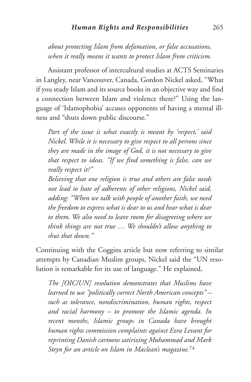*about protecting Islam from defamation, or false accusations, when it really means it wants to protect Islam from criticism.*

Assistant professor of intercultural studies at ACTS Seminaries in Langley, near Vancouver, Canada, Gordon Nickel asked, "What if you study Islam and its source books in an objective way and find a connection between Islam and violence there?" Using the language of 'Islamophobia' accuses opponents of having a mental illness and "shuts down public discourse."

*Part of the issue is what exactly is meant by 'respect,' said Nickel. While it is necessary to give respect to all persons since they are made in the image of God, it is not necessary to give that respect to ideas. "If we find something is false, can we really respect it?"*

*Believing that one religion is true and others are false needs not lead to hate of adherents of other religions, Nickel said, adding: "When we talk with people of another faith, we need the freedom to express what is dear to us and hear what is dear to them. We also need to leave room for disagreeing where we think things are not true … We shouldn't allow anything to shut that down."*

Continuing with the Coggins article but now referring to similar attempts by Canadian Muslim groups, Nickel said the "UN resolution is remarkable for its use of language." He explained,

*The [OIC/UN] resolution demonstrates that Muslims have learned to use "politically correct North American concepts" – such as tolerance, nondiscrimination, human rights, respect and racial harmony – to promote the Islamic agenda. In recent months, Islamic groups in Canada have brought human rights commission complaints against Ezra Levant for reprinting Danish cartoons satirizing Muhammad and Mark Steyn for an article on Islam in Maclean's magazine.*<sup>74</sup>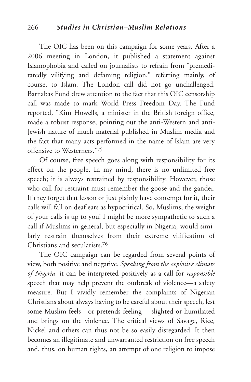The OIC has been on this campaign for some years. After a 2006 meeting in London, it published a statement against Islamophobia and called on journalists to refrain from "premeditatedly vilifying and defaming religion," referring mainly, of course, to Islam. The London call did not go unchallenged. Barnabas Fund drew attention to the fact that this OIC censorship call was made to mark World Press Freedom Day. The Fund reported, "Kim Howells, a minister in the British foreign office, made a robust response, pointing out the anti-Western and anti-Jewish nature of much material published in Muslim media and the fact that many acts performed in the name of Islam are very offensive to Westerners."75

Of course, free speech goes along with responsibility for its effect on the people. In my mind, there is no unlimited free speech; it is always restrained by responsibility. However, those who call for restraint must remember the goose and the gander. If they forget that lesson or just plainly have contempt for it, their calls will fall on deaf ears as hypocritical. So, Muslims, the weight of your calls is up to you! I might be more sympathetic to such a call if Muslims in general, but especially in Nigeria, would similarly restrain themselves from their extreme vilification of Christians and secularists.76

The OIC campaign can be regarded from several points of view, both positive and negative. *Speaking from the explosive climate of Nigeria,* it can be interpreted positively as a call for *responsible* speech that may help prevent the outbreak of violence—a safety measure. But I vividly remember the complaints of Nigerian Christians about always having to be careful about their speech, lest some Muslim feels—or pretends feeling— slighted or humiliated and brings on the violence. The critical views of Savage, Rice, Nickel and others can thus not be so easily disregarded. It then becomes an illegitimate and unwarranted restriction on free speech and, thus, on human rights, an attempt of one religion to impose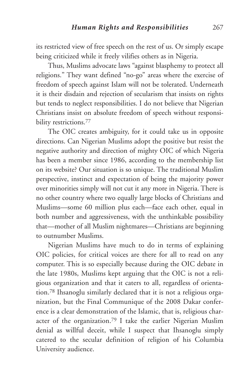its restricted view of free speech on the rest of us. Or simply escape being criticized while it freely vilifies others as in Nigeria.

Thus, Muslims advocate laws "against blasphemy to protect all religions." They want defined "no-go" areas where the exercise of freedom of speech against Islam will not be tolerated. Underneath it is their disdain and rejection of secularism that insists on rights but tends to neglect responsibilities. I do not believe that Nigerian Christians insist on absolute freedom of speech without responsibility restrictions.<sup>77</sup>

The OIC creates ambiguity, for it could take us in opposite directions. Can Nigerian Muslims adopt the positive but resist the negative authority and direction of mighty OIC of which Nigeria has been a member since 1986, according to the membership list on its website? Our situation is so unique. The traditional Muslim perspective, instinct and expectation of being the majority power over minorities simply will not cut it any more in Nigeria. There is no other country where two equally large blocks of Christians and Muslims—some 60 million plus each—face each other, equal in both number and aggressiveness, with the unthinkable possibility that—mother of all Muslim nightmares—Christians are beginning to outnumber Muslims.

Nigerian Muslims have much to do in terms of explaining OIC policies, for critical voices are there for all to read on any computer. This is so especially because during the OIC debate in the late 1980s, Muslims kept arguing that the OIC is not a religious organization and that it caters to all, regardless of orientation.78 Ihsanoglu similarly declared that it is not a religious organization, but the Final Communique of the 2008 Dakar conference is a clear demonstration of the Islamic, that is, religious character of the organization.79 I take the earlier Nigerian Muslim denial as willful deceit, while I suspect that Ihsanoglu simply catered to the secular definition of religion of his Columbia University audience.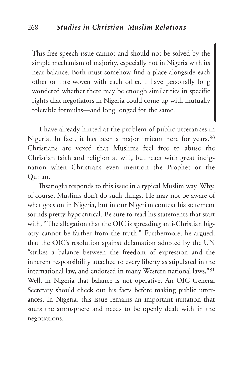This free speech issue cannot and should not be solved by the simple mechanism of majority, especially not in Nigeria with its near balance. Both must somehow find a place alongside each other or interwoven with each other. I have personally long wondered whether there may be enough similarities in specific rights that negotiators in Nigeria could come up with mutually tolerable formulas—and long longed for the same.

I have already hinted at the problem of public utterances in Nigeria. In fact, it has been a major irritant here for years.<sup>80</sup> Christians are vexed that Muslims feel free to abuse the Christian faith and religion at will, but react with great indignation when Christians even mention the Prophet or the Qur'an.

Ihsanoglu responds to this issue in a typical Muslim way. Why, of course, Muslims don't do such things. He may not be aware of what goes on in Nigeria, but in our Nigerian context his statement sounds pretty hypocritical. Be sure to read his statements that start with, "The allegation that the OIC is spreading anti-Christian bigotry cannot be farther from the truth." Furthermore, he argued, that the OIC's resolution against defamation adopted by the UN "strikes a balance between the freedom of expression and the inherent responsibility attached to every liberty as stipulated in the international law, and endorsed in many Western national laws."81 Well, in Nigeria that balance is not operative. An OIC General Secretary should check out his facts before making public utterances. In Nigeria, this issue remains an important irritation that sours the atmosphere and needs to be openly dealt with in the negotiations.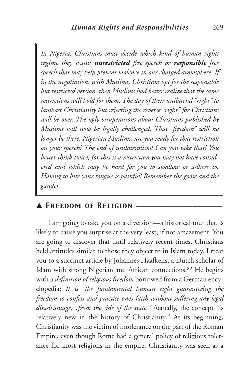*In Nigeria, Christians must decide which kind of human rights regime they want: unrestricted free speech or responsible free speech that may help prevent violence in our charged atmosphere. If in the negotiations with Muslims, Christians opt for the responsible but restricted version, then Muslims had better realize that the same restrictions will hold for them. The day of their unilateral "right" to lambast Christianity but rejecting the reverse "right" for Christians will be over. The ugly vituperations about Christians published by Muslims will now be legally challenged. That "freedom" will no longer be there. Nigerian Muslims, are you ready for that restriction on your speech? The end of unilateralism! Can you take that? You better think twice, for this is a restriction you may not have considered and which may be hard for you to swallow or adhere to. Having to bite your tongue is painful! Remember the goose and the gander.*

## ▲ *Freedom of Religion* \_\_\_\_\_\_\_\_\_\_\_\_\_\_\_\_\_\_\_\_\_\_\_\_\_\_

I am going to take you on a diversion—a historical tour that is likely to cause you surprise at the very least, if not amazement. You are going to discover that until relatively recent times, Christians held attitudes similar to those they object to in Islam today. I treat you to a succinct article by Johannes Haafkens, a Dutch scholar of Islam with strong Nigerian and African connections.82 He begins with a *definition of religious freedom* borrowed from a German encyclopedia: *It is "the fundamental human right guaranteeing the freedom to confess and practise one's faith without suffering any legal disadvantage…from the side of the state."* Actually, the concept "is relatively new in the history of Christianity." At its beginning, Christianity was the victim of intolerance on the part of the Roman Empire, even though Rome had a general policy of religious tolerance for most religions in the empire. Christianity was seen as a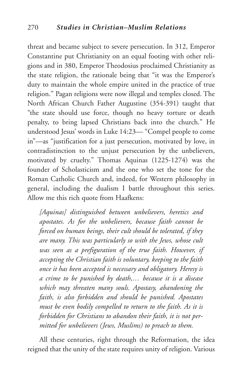threat and became subject to severe persecution. In 312, Emperor Constantine put Christianity on an equal footing with other religions and in 380, Emperor Theodosius proclaimed Christianity as the state religion, the rationale being that "it was the Emperor's duty to maintain the whole empire united in the practice of true religion." Pagan religions were now illegal and temples closed. The North African Church Father Augustine (354-391) taught that "the state should use force, though no heavy torture or death penalty, to bring lapsed Christians back into the church." He understood Jesus' words in Luke 14:23— "Compel people to come in"—as "justification for a just persecution, motivated by love, in contradistinction to the unjust persecution by the unbelievers, motivated by cruelty." Thomas Aquinas (1225-1274) was the founder of Scholasticism and the one who set the tone for the Roman Catholic Church and, indeed, for Western philosophy in general, including the dualism I battle throughout this series. Allow me this rich quote from Haafkens:

*[Aquinas] distinguished between unbelievers, heretics and apostates. As for the unbelievers, because faith cannot be forced on human beings, their cult should be tolerated, if they are many. This was particularly so with the Jews, whose cult was seen as a prefiguration of the true faith. However, if accepting the Christian faith is voluntary, keeping to the faith once it has been accepted is necessary and obligatory. Heresy is a crime to be punished by death,… because it is a disease which may threaten many souls. Apostasy, abandoning the faith, is also forbidden and should be punished. Apostates must be even bodily compelled to return to the faith. As it is forbidden for Christians to abandon their faith, it is not permitted for unbelievers (Jews, Muslims) to preach to them.*

All these centuries, right through the Reformation, the idea reigned that the unity of the state requires unity of religion. Various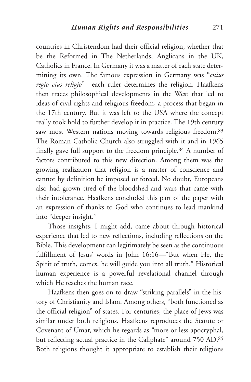countries in Christendom had their official religion, whether that be the Reformed in The Netherlands, Anglicans in the UK, Catholics in France. In Germany it was a matter of each state determining its own. The famous expression in Germany was "*cuius regio eius religio*"—each ruler determines the religion. Haafkens then traces philosophical developments in the West that led to ideas of civil rights and religious freedom, a process that began in the 17th century. But it was left to the USA where the concept really took hold to further develop it in practice. The 19th century saw most Western nations moving towards religious freedom.<sup>83</sup> The Roman Catholic Church also struggled with it and in 1965 finally gave full support to the freedom principle.84 A number of factors contributed to this new direction. Among them was the growing realization that religion is a matter of conscience and cannot by definition be imposed or forced. No doubt, Europeans also had grown tired of the bloodshed and wars that came with their intolerance. Haafkens concluded this part of the paper with an expression of thanks to God who continues to lead mankind into "deeper insight."

Those insights, I might add, came about through historical experience that led to new reflections, including reflections on the Bible. This development can legitimately be seen as the continuous fulfillment of Jesus' words in John 16:16—"But when He, the Spirit of truth, comes, he will guide you into all truth." Historical human experience is a powerful revelational channel through which He teaches the human race.

Haafkens then goes on to draw "striking parallels" in the history of Christianity and Islam. Among others, "both functioned as the official religion" of states. For centuries, the place of Jews was similar under both religions. Haafkens reproduces the Statute or Covenant of Umar, which he regards as "more or less apocryphal, but reflecting actual practice in the Caliphate" around 750 AD.85 Both religions thought it appropriate to establish their religions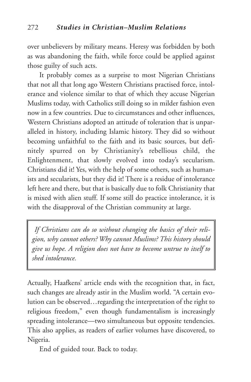over unbelievers by military means. Heresy was forbidden by both as was abandoning the faith, while force could be applied against those guilty of such acts.

It probably comes as a surprise to most Nigerian Christians that not all that long ago Western Christians practised force, intolerance and violence similar to that of which they accuse Nigerian Muslims today, with Catholics still doing so in milder fashion even now in a few countries. Due to circumstances and other influences, Western Christians adopted an attitude of toleration that is unparalleled in history, including Islamic history. They did so without becoming unfaithful to the faith and its basic sources, but definitely spurred on by Christianity's rebellious child, the Enlightenment, that slowly evolved into today's secularism. Christians did it! Yes, with the help of some others, such as humanists and secularists, but they did it! There is a residue of intolerance left here and there, but that is basically due to folk Christianity that is mixed with alien stuff. If some still do practice intolerance, it is with the disapproval of the Christian community at large.

*If Christians can do so without changing the basics of their religion, why cannot others? Why cannot Muslims? This history should give us hope. A religion does not have to become untrue to itself to shed intolerance.*

Actually, Haafkens' article ends with the recognition that, in fact, such changes are already astir in the Muslim world. "A certain evolution can be observed…regarding the interpretation of the right to religious freedom," even though fundamentalism is increasingly spreading intolerance—two simultaneous but opposite tendencies. This also applies, as readers of earlier volumes have discovered, to Nigeria.

End of guided tour. Back to today.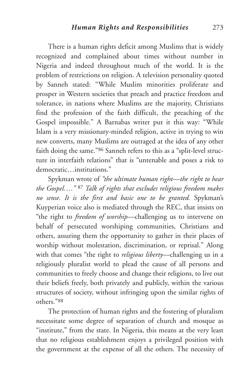There is a human rights deficit among Muslims that is widely recognized and complained about times without number in Nigeria and indeed throughout much of the world. It is the problem of restrictions on religion. A television personality quoted by Sanneh stated: "While Muslim minorities proliferate and prosper in Western societies that preach and practice freedom and tolerance, in nations where Muslims are the majority, Christians find the profession of the faith difficult, the preaching of the Gospel impossible." A Barnabas writer put it this way: "While Islam is a very missionary-minded religion, active in trying to win new converts, many Muslims are outraged at the idea of any other faith doing the same."86 Sanneh refers to this as a "split-level structure in interfaith relations" that is "untenable and poses a risk to democratic institutions."

Spykman wrote of *"the ultimate human right—the right to hear the Gospel…."* <sup>87</sup> *Talk of rights that excludes religious freedom makes no sense. It is the first and basic one to be granted.* Spykman's Kuyperian voice also is mediated through the REC, that insists on "the right to *freedom of worship*—challenging us to intervene on behalf of persecuted worshiping communities, Christians and others, assuring them the opportunity to gather in their places of worship without molestation, discrimination, or reprisal." Along with that comes "the right to *religious liberty*—challenging us in a religiously pluralist world to plead the cause of all persons and communities to freely choose and change their religions, to live out their beliefs freely, both privately and publicly, within the various structures of society, without infringing upon the similar rights of others."88

The protection of human rights and the fostering of pluralism necessitate some degree of separation of church and mosque as "institute," from the state. In Nigeria, this means at the very least that no religious establishment enjoys a privileged position with the government at the expense of all the others. The necessity of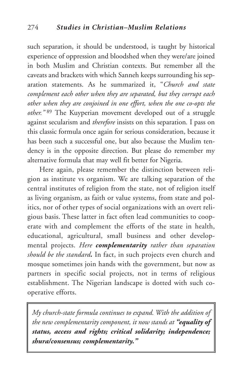such separation, it should be understood, is taught by historical experience of oppression and bloodshed when they were/are joined in both Muslim and Christian contexts. But remember all the caveats and brackets with which Sanneh keeps surrounding his separation statements. As he summarized it, "*Church and state complement each other when they are separated, but they corrupt each other when they are conjoined in one effort, when the one co-opts the other."* <sup>89</sup> The Kuyperian movement developed out of a struggle against secularism and *therefore* insists on this separation*.* I pass on this classic formula once again for serious consideration, because it has been such a successful one, but also because the Muslim tendency is in the opposite direction. But please do remember my alternative formula that may well fit better for Nigeria.

Here again, please remember the distinction between religion as institute vs organism. We are talking separation of the central institutes of religion from the state, not of religion itself as living organism, as faith or value systems, from state and politics, nor of other types of social organizations with an overt religious basis. These latter in fact often lead communities to cooperate with and complement the efforts of the state in health, educational, agricultural, small business and other developmental projects. *Here complementarity rather than separation should be the standard.* In fact, in such projects even church and mosque sometimes join hands with the government, but now as partners in specific social projects, not in terms of religious establishment. The Nigerian landscape is dotted with such cooperative efforts.

*My church-state formula continues to expand. With the addition of the new complementarity component, it now stands at "equality of status, access and rights; critical solidarity; independence; shura/consensus; complementarity."*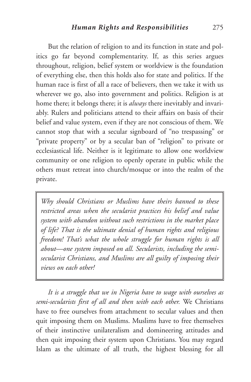But the relation of religion to and its function in state and politics go far beyond complementarity. If, as this series argues throughout, religion, belief system or worldview is the foundation of everything else, then this holds also for state and politics. If the human race is first of all a race of believers, then we take it with us wherever we go, also into government and politics. Religion is at home there; it belongs there; it is *always* there inevitably and invariably. Rulers and politicians attend to their affairs on basis of their belief and value system, even if they are not conscious of them. We cannot stop that with a secular signboard of "no trespassing" or "private property" or by a secular ban of "religion" to private or ecclesiastical life. Neither is it legitimate to allow one worldview community or one religion to openly operate in public while the others must retreat into church/mosque or into the realm of the private.

*Why should Christians or Muslims have theirs banned to these restricted areas when the secularist practices his belief and value system with abandon without such restrictions in the market place of life? That is the ultimate denial of human rights and religious freedom! That's what the whole struggle for human rights is all about—one system imposed on all. Secularists, including the semisecularist Christians, and Muslims are all guilty of imposing their views on each other!*

*It is a struggle that we in Nigeria have to wage with ourselves as semi-secularists first of all and then with each other.* We Christians have to free ourselves from attachment to secular values and then quit imposing them on Muslims. Muslims have to free themselves of their instinctive unilateralism and domineering attitudes and then quit imposing their system upon Christians. You may regard Islam as the ultimate of all truth, the highest blessing for all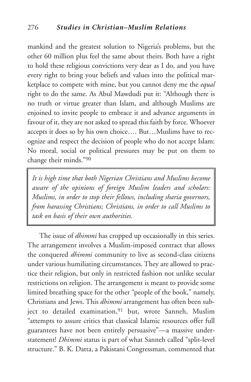mankind and the greatest solution to Nigeria's problems, but the other 60 million plus feel the same about theirs. Both have a right to hold these religious convictions very dear as I do, and you have every right to bring your beliefs and values into the political marketplace to compete with mine, but you cannot deny me the *equal* right to do the same. As Abul Mawdudi put it: "Although there is no truth or virtue greater than Islam, and although Muslims are enjoined to invite people to embrace it and advance arguments in favour of it, they are not asked to spread this faith by force. Whoever accepts it does so by his own choice…. But…Muslims have to recognize and respect the decision of people who do not accept Islam: No moral, social or political pressures may be put on them to change their minds."90

*It is high time that both Nigerian Christians and Muslims become aware of the opinions of foreign Muslim leaders and scholars: Muslims, in order to stop their fellows, including sharia governors, from harassing Christians; Christians, in order to call Muslims to task on basis of their own authorities.*

The issue of *dhimmi* has cropped up occasionally in this series. The arrangement involves a Muslim-imposed contract that allows the conquered *dhimmi* community to live as second-class citizens under various humiliating circumstances. They are allowed to practice their religion, but only in restricted fashion not unlike secular restrictions on religion. The arrangement is meant to provide some limited breathing space for the other "people of the book," namely, Christians and Jews. This *dhimmi* arrangement has often been subject to detailed examination,<sup>91</sup> but, wrote Sanneh, Muslim "attempts to assure critics that classical Islamic resources offer full guarantees have not been entirely persuasive"—a massive understatement! *Dhimmi* status is part of what Sanneh called "split-level structure." B. K. Datta, a Pakistani Congressman, commented that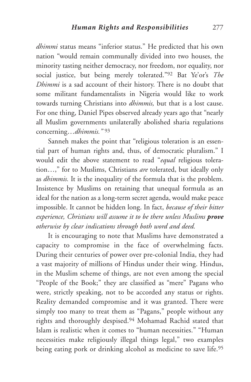*dhimmi* status means "inferior status." He predicted that his own nation "would remain communally divided into two houses, the minority tasting neither democracy, nor freedom, nor equality, nor social justice, but being merely tolerated."92 Bat Ye'or's *The Dhimmi* is a sad account of their history. There is no doubt that some militant fundamentalists in Nigeria would like to work towards turning Christians into *dhimmis,* but that is a lost cause. For one thing, Daniel Pipes observed already years ago that "nearly all Muslim governments unilaterally abolished sharia regulations concerning…*dhimmis."* <sup>93</sup>

Sanneh makes the point that "religious toleration is an essential part of human rights and, thus, of democratic pluralism." I would edit the above statement to read "*equal* religious toleration…," for to Muslims, Christians *are* tolerated, but ideally only as *dhimmis.* It is the inequality of the formula that is the problem. Insistence by Muslims on retaining that unequal formula as an ideal for the nation as a long-term secret agenda, would make peace impossible. It cannot be hidden long. In fact, *because of their bitter experience, Christians will assume it to be there unless Muslims prove otherwise by clear indications through both word and deed.*

It is encouraging to note that Muslims have demonstrated a capacity to compromise in the face of overwhelming facts. During their centuries of power over pre-colonial India, they had a vast majority of millions of Hindus under their wing. Hindus, in the Muslim scheme of things, are not even among the special "People of the Book;" they are classified as "mere" Pagans who were, strictly speaking, not to be accorded any status or rights. Reality demanded compromise and it was granted. There were simply too many to treat them as "Pagans," people without any rights and thoroughly despised.94 Mohamad Rachid stated that Islam is realistic when it comes to "human necessities." "Human necessities make religiously illegal things legal," two examples being eating pork or drinking alcohol as medicine to save life.95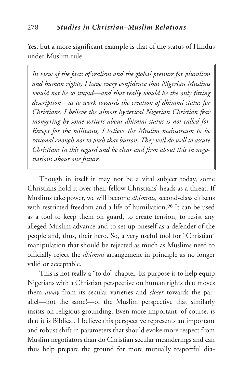Yes, but a more significant example is that of the status of Hindus under Muslim rule.

*In view of the facts of realism and the global pressure for pluralism and human rights, I have every confidence that Nigerian Muslims would not be so stupid—and that really would be the only fitting description—as to work towards the creation of dhimmi status for Christians. I believe the almost hysterical Nigerian Christian fear mongering by some writers about dhimmi status is not called for. Except for the militants, I believe the Muslim mainstream to be rational enough not to push that button. They will do well to assure Christians in this regard and be clear and firm about this in negotiations about our future.*

Though in itself it may not be a vital subject today, some Christians hold it over their fellow Christians' heads as a threat. If Muslims take power, we will become *dhimmis,* second-class citizens with restricted freedom and a life of humiliation.<sup>96</sup> It can be used as a tool to keep them on guard, to create tension, to resist any alleged Muslim advance and to set up oneself as a defender of the people and, thus, their hero. So, a very useful tool for "Christian" manipulation that should be rejected as much as Muslims need to officially reject the *dhimmi* arrangement in principle as no longer valid or acceptable.

This is not really a "to do" chapter. Its purpose is to help equip Nigerians with a Christian perspective on human rights that moves them *away* from its secular varieties and *closer* towards the parallel—not the same!—of the Muslim perspective that similarly insists on religious grounding. Even more important, of course, is that it is Biblical. I believe this perspective represents an important and robust shift in parameters that should evoke more respect from Muslim negotiators than do Christian secular meanderings and can thus help prepare the ground for more mutually respectful dia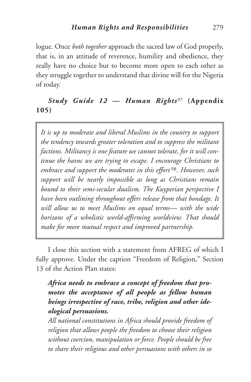logue. Once *both together* approach the sacred law of God properly, that is, in an attitude of reverence, humility and obedience, they really have no choice but to become more open to each other as they struggle together to understand that divine will for the Nigeria of today.

## *Study Guide 12 — Human Rights*<sup>97</sup> **(Appendix 105)**

*It is up to moderate and liberal Muslims in the country to support the tendency towards greater toleration and to suppress the militant factions. Militancy is one feature we cannot tolerate, for it will continue the havoc we are trying to escape. I encourage Christians to embrace and support the moderates in this effort* <sup>98</sup>*. However, such support will be nearly impossible as long as Christians remain bound to their semi-secular dualism. The Kuyperian perspective I have been outlining throughout offers release from that bondage. It will allow us to meet Muslims on equal terms— with the wide horizons of a wholistic world-affirming worldview. That should make for more mutual respect and improved partnership.*

I close this section with a statement from AFREG of which I fully approve. Under the caption "Freedom of Religion," Section 13 of the Action Plan states:

## *Africa needs to embrace a concept of freedom that promotes the acceptance of all people as fellow human beings irrespective of race, tribe, religion and other ideological persuasions.*

*All national constitutions in Africa should provide freedom of religion that allows people the freedom to choose their religion without coercion, manipulation or force. People should be free to share their religious and other persuasions with others in so*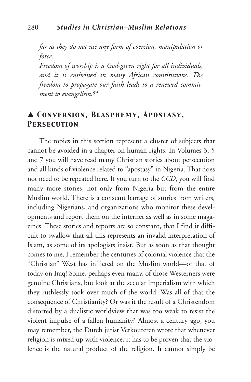*far as they do not use any form of coercion, manipulation or force.*

*Freedom of worship is a God-given right for all individuals, and it is enshrined in many African constitutions. The freedom to propagate our faith leads to a renewed commitment to evangelism.*<sup>99</sup>

## ▲ *Conversion, Blasphemy, Apostasy,* PERSECUTION

The topics in this section represent a cluster of subjects that cannot be avoided in a chapter on human rights. In Volumes 3, 5 and 7 you will have read many Christian stories about persecution and all kinds of violence related to "apostasy" in Nigeria. That does not need to be repeated here. If you turn to the *CCD*, you will find many more stories, not only from Nigeria but from the entire Muslim world. There is a constant barrage of stories from writers, including Nigerians, and organizations who monitor these developments and report them on the internet as well as in some magazines. These stories and reports are so constant, that I find it difficult to swallow that all this represents an invalid interpretation of Islam, as some of its apologists insist. But as soon as that thought comes to me, I remember the centuries of colonial violence that the "Christian" West has inflicted on the Muslim world—or that of today on Iraq! Some, perhaps even many, of those Westerners were genuine Christians, but look at the secular imperialism with which they ruthlessly took over much of the world. Was all of that the consequence of Christianity? Or was it the result of a Christendom distorted by a dualistic worldview that was too weak to resist the violent impulse of a fallen humanity? Almost a century ago, you may remember, the Dutch jurist Verkouteren wrote that whenever religion is mixed up with violence, it has to be proven that the violence is the natural product of the religion. It cannot simply be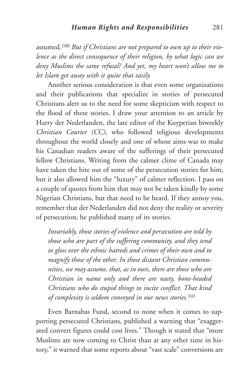assumed*.*<sup>100</sup> *But if Christians are not prepared to own up to their violence as the direct consequence of their religion, by what logic can we deny Muslims the same refusal? And yet, my heart won't allow me to let Islam get away with it quite that easily.*

Another serious consideration is that even some organizations and their publications that specialize in stories of persecuted Christians alert us to the need for some skepticism with respect to the flood of these stories. I draw your attention to an article by Harry der Nederlanden, the late editor of the Kuyperian biweekly *Christian Courier (CC)*, who followed religious developments throughout the world closely and one of whose aims was to make his Canadian readers aware of the sufferings of their persecuted fellow Christians. Writing from the calmer clime of Canada may have taken the bite out of some of the persecution stories for him, but it also allowed him the "luxury" of calmer reflection. I pass on a couple of quotes from him that may not be taken kindly by some Nigerian Christians, but that need to be heard. If they annoy you, remember that der Nederlanden did not deny the reality or severity of persecution; he published many of its stories.

*Invariably, those stories of violence and persecution are told by those who are part of the suffering community, and they tend to gloss over the ethnic hatreds and crimes of their own and to magnify those of the other. In those distant Christian communities, we may assume, that, as in ours, there are those who are Christian in name only and there are nasty, bone-headed Christians who do stupid things to incite conflict. That kind of complexity is seldom conveyed in our news stories.*<sup>101</sup>

Even Barnabas Fund, second to none when it comes to supporting persecuted Christians, published a warning that "exaggerated convert figures could cost lives." Though it stated that "more Muslims are now coming to Christ than at any other time in history," it warned that some reports about "vast scale" conversions are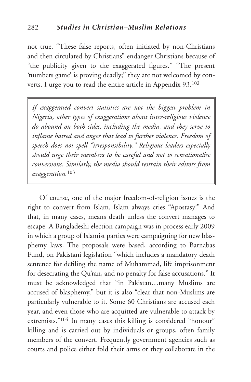not true. "These false reports, often initiated by non-Christians and then circulated by Christians" endanger Christians because of "the publicity given to the exaggerated figures." "The present 'numbers game' is proving deadly;" they are not welcomed by converts. I urge you to read the entire article in Appendix 93.102

*If exaggerated convert statistics are not the biggest problem in Nigeria, other types of exaggerations about inter-religious violence do abound on both sides, including the media, and they serve to inflame hatred and anger that lead to further violence. Freedom of speech does not spell "irresponsibility." Religious leaders especially should urge their members to be careful and not to sensationalise conversions. Similarly, the media should restrain their editors from exaggeration.*103

Of course, one of the major freedom-of-religion issues is the right to convert from Islam. Islam always cries "Apostasy!" And that, in many cases, means death unless the convert manages to escape. A Bangladeshi election campaign was in process early 2009 in which a group of Islamist parties were campaigning for new blasphemy laws. The proposals were based, according to Barnabas Fund, on Pakistani legislation "which includes a mandatory death sentence for defiling the name of Muhammad, life imprisonment for desecrating the Qu'ran, and no penalty for false accusations." It must be acknowledged that "in Pakistan…many Muslims are accused of blasphemy," but it is also "clear that non-Muslims are particularly vulnerable to it. Some 60 Christians are accused each year, and even those who are acquitted are vulnerable to attack by extremists."104 In many cases this killing is considered "honour" killing and is carried out by individuals or groups, often family members of the convert. Frequently government agencies such as courts and police either fold their arms or they collaborate in the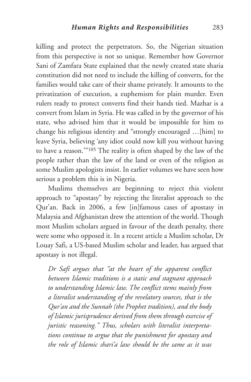killing and protect the perpetrators. So, the Nigerian situation from this perspective is not so unique. Remember how Governor Sani of Zamfara State explained that the newly created state sharia constitution did not need to include the killing of converts, for the families would take care of their shame privately. It amounts to the privatization of execution, a euphemism for plain murder. Even rulers ready to protect converts find their hands tied. Mazhar is a convert from Islam in Syria. He was called in by the governor of his state, who advised him that it would be impossible for him to change his religious identity and "strongly encouraged …[him] to leave Syria, believing 'any idiot could now kill you without having to have a reason.'"105 The reality is often shaped by the law of the people rather than the law of the land or even of the religion as some Muslim apologists insist. In earlier volumes we have seen how serious a problem this is in Nigeria.

Muslims themselves are beginning to reject this violent approach to "apostasy" by rejecting the literalist approach to the Qur'an. Back in 2006, a few [in]famous cases of apostasy in Malaysia and Afghanistan drew the attention of the world. Though most Muslim scholars argued in favour of the death penalty, there were some who opposed it. In a recent article a Muslim scholar, Dr Louay Safi, a US-based Muslim scholar and leader, has argued that apostasy is not illegal.

*Dr Safi argues that "at the heart of the apparent conflict between Islamic traditions is a static and stagnant approach to understanding Islamic law. The conflict stems mainly from a literalist understanding of the revelatory sources, that is the Qur'an and the Sunnah (the Prophet tradition), and the body of Islamic jurisprudence derived from them through exercise of juristic reasoning." Thus, scholars with literalist interpretations continue to argue that the punishment for apostasy and the role of Islamic shari'a law should be the same as it was*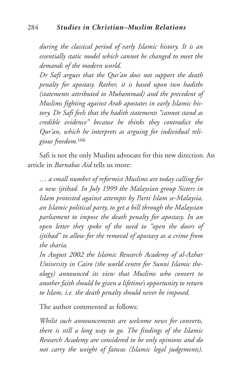*during the classical period of early Islamic history. It is an essentially static model which cannot be changed to meet the demands of the modern world.*

*Dr Safi argues that the Qur'an does not support the death penalty for apostasy. Rather, it is based upon two hadiths (statements attributed to Muhammad) and the precedent of Muslims fighting against Arab apostates in early Islamic history. Dr Safi feels that the hadith statements "cannot stand as credible evidence" because he thinks they contradict the Qur'an, which he interprets as arguing for individual religious freedom.*<sup>106</sup>

Safi is not the only Muslim advocate for this new direction. An article in *Barnabas Aid* tells us more:

*… a small number of reformist Muslims are today calling for a new ijtihad. In July 1999 the Malaysian group Sisters in Islam protested against attempts by Parti Islam se-Malaysia, an Islamic political party, to get a bill through the Malaysian parliament to impose the death penalty for apostasy. In an open letter they spoke of the need to "open the doors of ijtihad" to allow for the removal of apostasy as a crime from the sharia.*

*In August 2002 the Islamic Research Academy of al-Azhar University in Cairo (the world centre for Sunni Islamic theology) announced its view that Muslims who convert to another faith should be given a lifetime's opportunity to return to Islam, i.e. the death penalty should never be imposed.*

The author commented as follows:

*Whilst such announcements are welcome news for converts, there is still a long way to go. The findings of the Islamic Research Academy are considered to be only opinions and do not carry the weight of fatwas (Islamic legal judgements).*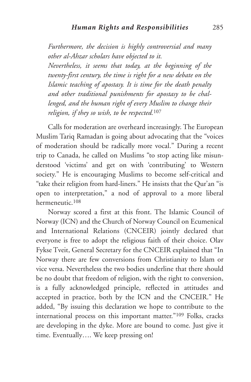*Furthermore, the decision is highly controversial and many other al-Ahzar scholars have objected to it.*

*Nevertheless, it seems that today, at the beginning of the twenty-first century, the time is right for a new debate on the Islamic teaching of apostasy. It is time for the death penalty and other traditional punishments for apostasy to be challenged, and the human right of every Muslim to change their religion, if they so wish, to be respected.*<sup>107</sup>

Calls for moderation are overheard increasingly. The European Muslim Tariq Ramadan is going about advocating that the "voices of moderation should be radically more vocal." During a recent trip to Canada, he called on Muslims "to stop acting like misunderstood 'victims' and get on with 'contributing' to Western society." He is encouraging Muslims to become self-critical and "take their religion from hard-liners." He insists that the Qur'an "is open to interpretation," a nod of approval to a more liberal hermeneutic.108

Norway scored a first at this front. The Islamic Council of Norway (ICN) and the Church of Norway Council on Ecumenical and International Relations (CNCEIR) jointly declared that everyone is free to adopt the religious faith of their choice. Olav Fykse Tveit, General Secretary for the CNCEIR explained that "In Norway there are few conversions from Christianity to Islam or vice versa. Nevertheless the two bodies underline that there should be no doubt that freedom of religion, with the right to conversion, is a fully acknowledged principle, reflected in attitudes and accepted in practice, both by the ICN and the CNCEIR." He added, "By issuing this declaration we hope to contribute to the international process on this important matter."109 Folks, cracks are developing in the dyke. More are bound to come. Just give it time. Eventually…. We keep pressing on!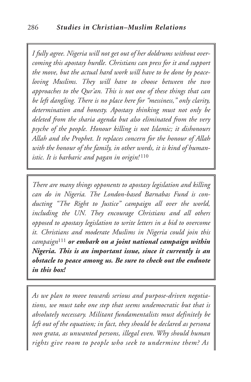*I fully agree. Nigeria will not get out of her doldrums without overcoming this apostasy hurdle. Christians can press for it and support the move, but the actual hard work will have to be done by peaceloving Muslims. They will have to choose between the two approaches to the Qur'an. This is not one of these things that can be left dangling. There is no place here for "messiness," only clarity, determination and honesty. Apostasy thinking must not only be deleted from the sharia agenda but also eliminated from the very psyche of the people. Honour killing is not Islamic; it dishonours Allah and the Prophet. It replaces concern for the honour of Allah with the honour of the family, in other words, it is kind of humanistic. It is barbaric and pagan in origin!* <sup>110</sup>

*There are many things opponents to apostasy legislation and killing can do in Nigeria. The London-based Barnabas Fund is conducting "The Right to Justice" campaign all over the world, including the UN. They encourage Christians and all others opposed to apostasy legislation to write letters in a bid to overcome it. Christians and moderate Muslims in Nigeria could join this campaign*<sup>111</sup> *or embark on a joint national campaign within Nigeria. This is an important issue, since it currently is an obstacle to peace among us. Be sure to check out the endnote in this box!*

*As we plan to move towards serious and purpose-driven negotiations, we must take one step that seems undemocratic but that is absolutely necessary. Militant fundamentalists must definitely be left out of the equation; in fact, they should be declared as persona non grata, as unwanted persons, illegal even. Why should human rights give room to people who seek to undermine them? As*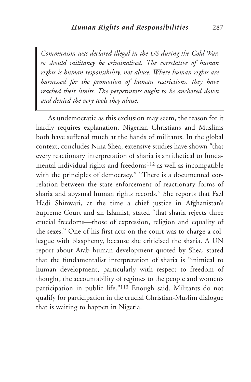*Communism was declared illegal in the US during the Cold War, so should militancy be criminalised*. *The correlative of human rights is human responsibility, not abuse. Where human rights are harnessed for the promotion of human restrictions, they have reached their limits. The perpetrators ought to be anchored down and denied the very tools they abuse.*

As undemocratic as this exclusion may seem, the reason for it hardly requires explanation. Nigerian Christians and Muslims both have suffered much at the hands of militants. In the global context, concludes Nina Shea, extensive studies have shown "that every reactionary interpretation of sharia is antithetical to fundamental individual rights and freedoms112 as well as incompatible with the principles of democracy." "There is a documented correlation between the state enforcement of reactionary forms of sharia and abysmal human rights records." She reports that Fazl Hadi Shinwari, at the time a chief justice in Afghanistan's Supreme Court and an Islamist, stated "that sharia rejects three crucial freedoms—those of expression, religion and equality of the sexes." One of his first acts on the court was to charge a colleague with blasphemy, because she criticised the sharia. A UN report about Arab human development quoted by Shea, stated that the fundamentalist interpretation of sharia is "inimical to human development, particularly with respect to freedom of thought, the accountability of regimes to the people and women's participation in public life."113 Enough said. Militants do not qualify for participation in the crucial Christian-Muslim dialogue that is waiting to happen in Nigeria.